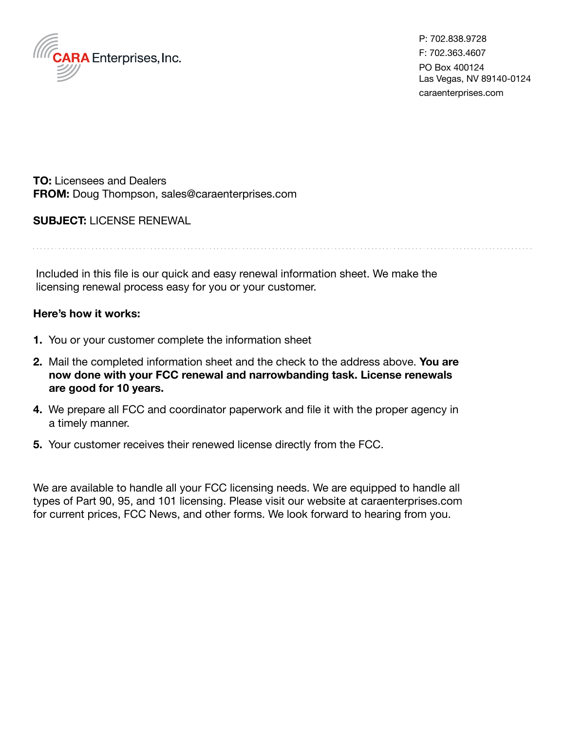

P: 702.838.9728 F: 702.363.4607 PO Box 400124 Las Vegas, NV 89140-0124 caraenterprises.com

**TO:** Licensees and Dealers **FROM:** Doug Thompson, sales@caraenterprises.com

## **SUBJECT:** LICENSE RENEWAL

Included in this file is our quick and easy renewal information sheet. We make the

licensing renewal process easy for you or your customer.

## **Here's how it works:**

- **1.** You or your customer complete the information sheet
- **2.** Mail the completed information sheet and the check to the address above. **You are now done with your FCC renewal and narrowbanding task. License renewals are good for 10 years.**
- **4.** We prepare all FCC and coordinator paperwork and file it with the proper agency in a timely manner.
- **5.** Your customer receives their renewed license directly from the FCC.

We are available to handle all your FCC licensing needs. We are equipped to handle all types of Part 90, 95, and 101 licensing. Please visit our website at caraenterprises.com for current prices, FCC News, and other forms. We look forward to hearing from you.